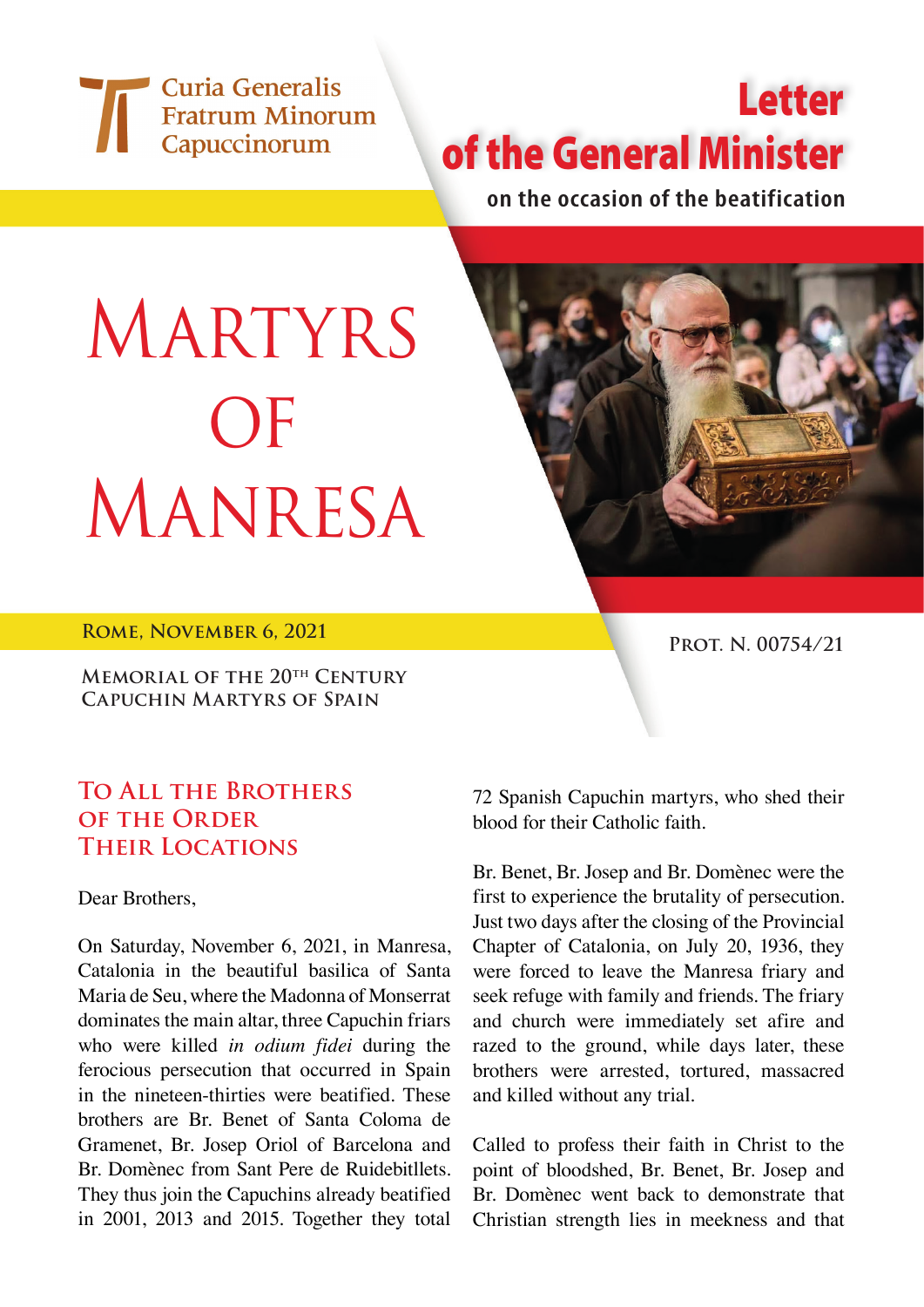Curia Generalis Fratrum Minorum Capuccinorum

## Letter of the General Minister

**on the occasion of the beatification**

## MARTYRS **OF** Manresa



**ROME, NOVEMBER 6, 2021 PROT. N. 00754/21** 

**Memorial of the 20th Century Capuchin Martyrs of Spain**

## **To All the Brothers OF THE ORDER Their Locations**

Dear Brothers,

On Saturday, November 6, 2021, in Manresa, Catalonia in the beautiful basilica of Santa Maria de Seu, where the Madonna of Monserrat dominates the main altar, three Capuchin friars who were killed *in odium fidei* during the ferocious persecution that occurred in Spain in the nineteen-thirties were beatified. These brothers are Br. Benet of Santa Coloma de Gramenet, Br. Josep Oriol of Barcelona and Br. Domènec from Sant Pere de Ruidebitllets. They thus join the Capuchins already beatified in 2001, 2013 and 2015. Together they total

72 Spanish Capuchin martyrs, who shed their blood for their Catholic faith.

Br. Benet, Br. Josep and Br. Domènec were the first to experience the brutality of persecution. Just two days after the closing of the Provincial Chapter of Catalonia, on July 20, 1936, they were forced to leave the Manresa friary and seek refuge with family and friends. The friary and church were immediately set afire and razed to the ground, while days later, these brothers were arrested, tortured, massacred and killed without any trial.

Called to profess their faith in Christ to the point of bloodshed, Br. Benet, Br. Josep and Br. Domènec went back to demonstrate that Christian strength lies in meekness and that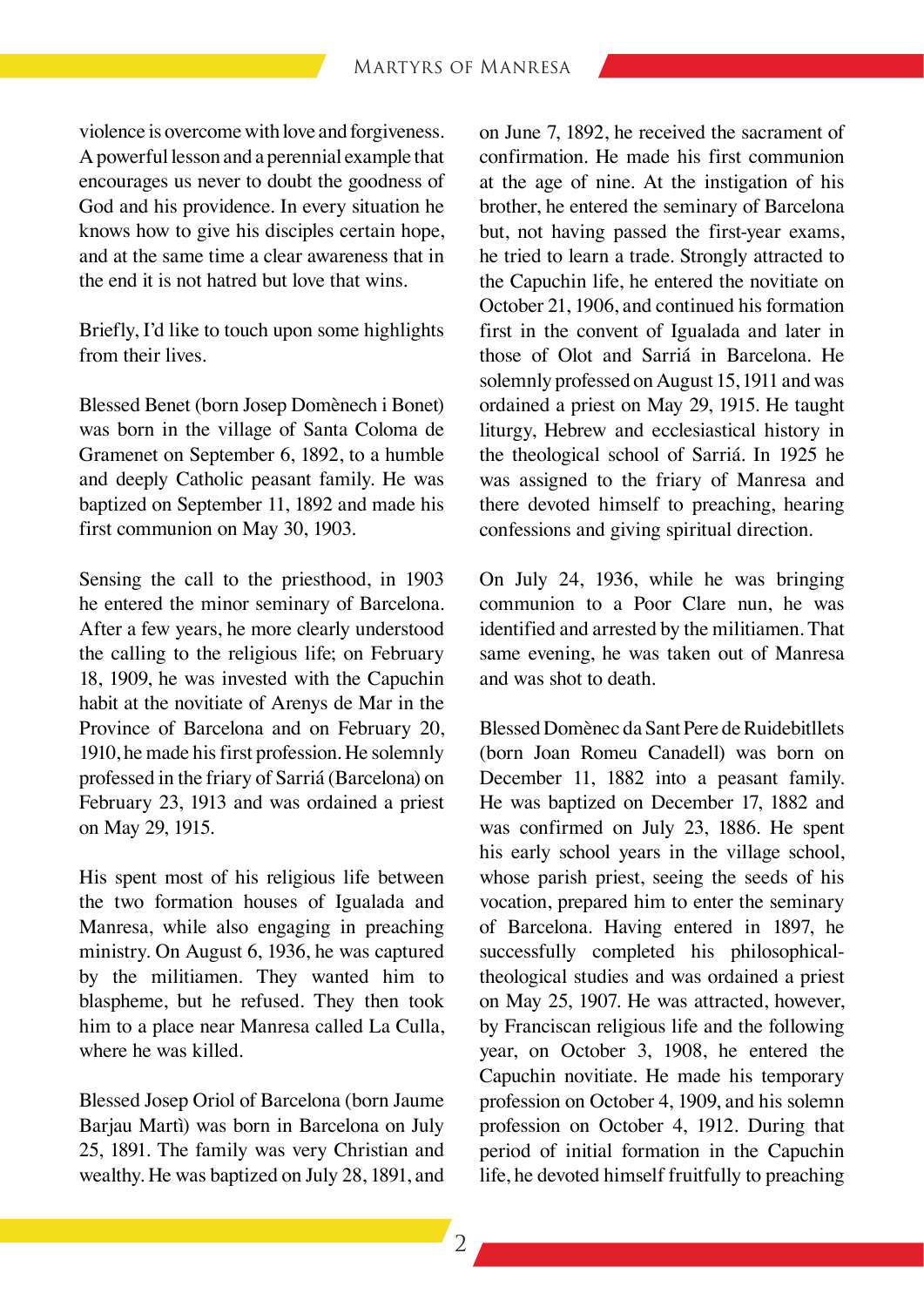violence is overcome with love and forgiveness. Apowerful lesson and a perennial example that encourages us never to doubt the goodness of God and his providence. In every situation he knows how to give his disciples certain hope, and at the same time a clear awareness that in the end it is not hatred but love that wins.

Briefly, I'd like to touch upon some highlights from their lives.

Blessed Benet (born Josep Domènech i Bonet) was born in the village of Santa Coloma de Gramenet on September 6, 1892, to a humble and deeply Catholic peasant family. He was baptized on September 11, 1892 and made his first communion on May 30, 1903.

Sensing the call to the priesthood, in 1903 he entered the minor seminary of Barcelona. After a few years, he more clearly understood the calling to the religious life; on February 18, 1909, he was invested with the Capuchin habit at the novitiate of Arenys de Mar in the Province of Barcelona and on February 20, 1910, he made his first profession. He solemnly professed in the friary of Sarriá (Barcelona) on February 23, 1913 and was ordained a priest on May 29, 1915.

His spent most of his religious life between the two formation houses of Igualada and Manresa, while also engaging in preaching ministry. On August 6, 1936, he was captured by the militiamen. They wanted him to blaspheme, but he refused. They then took him to a place near Manresa called La Culla, where he was killed.

Blessed Josep Oriol of Barcelona (born Jaume Barjau Martì) was born in Barcelona on July 25, 1891. The family was very Christian and wealthy. He was baptized on July 28, 1891, and on June 7, 1892, he received the sacrament of confirmation. He made his first communion at the age of nine. At the instigation of his brother, he entered the seminary of Barcelona but, not having passed the first-year exams, he tried to learn a trade. Strongly attracted to the Capuchin life, he entered the novitiate on October 21, 1906, and continued his formation first in the convent of Igualada and later in those of Olot and Sarriá in Barcelona. He solemnly professed on August 15, 1911 and was ordained a priest on May 29, 1915. He taught liturgy, Hebrew and ecclesiastical history in the theological school of Sarriá. In 1925 he was assigned to the friary of Manresa and there devoted himself to preaching, hearing confessions and giving spiritual direction.

On July 24, 1936, while he was bringing communion to a Poor Clare nun, he was identified and arrested by the militiamen. That same evening, he was taken out of Manresa and was shot to death.

Blessed Domènec da Sant Pere de Ruidebitllets (born Joan Romeu Canadell) was born on December 11, 1882 into a peasant family. He was baptized on December 17, 1882 and was confirmed on July 23, 1886. He spent his early school years in the village school, whose parish priest, seeing the seeds of his vocation, prepared him to enter the seminary of Barcelona. Having entered in 1897, he successfully completed his philosophicaltheological studies and was ordained a priest on May 25, 1907. He was attracted, however, by Franciscan religious life and the following year, on October 3, 1908, he entered the Capuchin novitiate. He made his temporary profession on October 4, 1909, and his solemn profession on October 4, 1912. During that period of initial formation in the Capuchin life, he devoted himself fruitfully to preaching